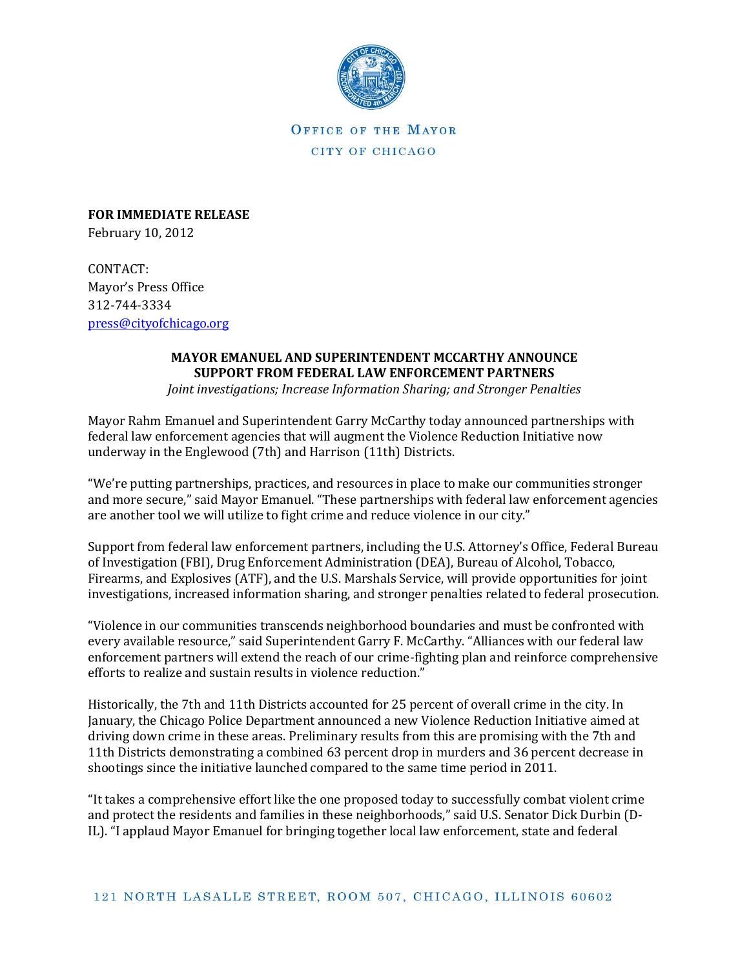

OFFICE OF THE MAYOR CITY OF CHICAGO

**FOR IMMEDIATE RELEASE**  February 10, 2012

CONTACT: Mayor's Press Office 312-744-3334 [press@cityofchicago.org](mailto:press@cityofchicago.org)

# **MAYOR EMANUEL AND SUPERINTENDENT MCCARTHY ANNOUNCE SUPPORT FROM FEDERAL LAW ENFORCEMENT PARTNERS**

*Joint investigations; Increase Information Sharing; and Stronger Penalties*

Mayor Rahm Emanuel and Superintendent Garry McCarthy today announced partnerships with federal law enforcement agencies that will augment the Violence Reduction Initiative now underway in the Englewood (7th) and Harrison (11th) Districts.

"We're putting partnerships, practices, and resources in place to make our communities stronger and more secure," said Mayor Emanuel. "These partnerships with federal law enforcement agencies are another tool we will utilize to fight crime and reduce violence in our city."

Support from federal law enforcement partners, including the U.S. Attorney's Office, Federal Bureau of Investigation (FBI), Drug Enforcement Administration (DEA), Bureau of Alcohol, Tobacco, Firearms, and Explosives (ATF), and the U.S. Marshals Service, will provide opportunities for joint investigations, increased information sharing, and stronger penalties related to federal prosecution.

"Violence in our communities transcends neighborhood boundaries and must be confronted with every available resource," said Superintendent Garry F. McCarthy. "Alliances with our federal law enforcement partners will extend the reach of our crime-fighting plan and reinforce comprehensive efforts to realize and sustain results in violence reduction."

Historically, the 7th and 11th Districts accounted for 25 percent of overall crime in the city. In January, the Chicago Police Department announced a new Violence Reduction Initiative aimed at driving down crime in these areas. Preliminary results from this are promising with the 7th and 11th Districts demonstrating a combined 63 percent drop in murders and 36 percent decrease in shootings since the initiative launched compared to the same time period in 2011.

"It takes a comprehensive effort like the one proposed today to successfully combat violent crime and protect the residents and families in these neighborhoods," said U.S. Senator Dick Durbin (D-IL). "I applaud Mayor Emanuel for bringing together local law enforcement, state and federal